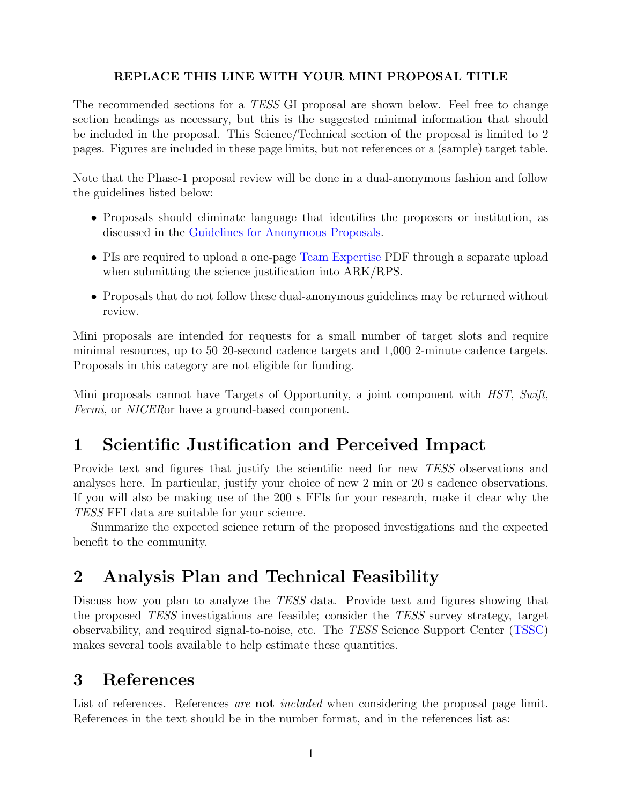#### REPLACE THIS LINE WITH YOUR MINI PROPOSAL TITLE

The recommended sections for a TESS GI proposal are shown below. Feel free to change section headings as necessary, but this is the suggested minimal information that should be included in the proposal. This Science/Technical section of the proposal is limited to 2 pages. Figures are included in these page limits, but not references or a (sample) target table.

Note that the Phase-1 proposal review will be done in a dual-anonymous fashion and follow the guidelines listed below:

- Proposals should eliminate language that identifies the proposers or institution, as discussed in the [Guidelines for Anonymous Proposals.](https://science.nasa.gov/researchers/dual-anonymous-peer-review)
- PIs are required to upload a one-page [Team Expertise](https://heasarc.gsfc.nasa.gov/docs/tess/docs/proposal-templates/tessgi_teamexpertise_template_cycle5.pdf) PDF through a separate upload when submitting the science justification into ARK/RPS.
- Proposals that do not follow these dual-anonymous guidelines may be returned without review.

Mini proposals are intended for requests for a small number of target slots and require minimal resources, up to 50 20-second cadence targets and 1,000 2-minute cadence targets. Proposals in this category are not eligible for funding.

Mini proposals cannot have Targets of Opportunity, a joint component with HST, Swift, Fermi, or NICER or have a ground-based component.

## 1 Scientific Justification and Perceived Impact

Provide text and figures that justify the scientific need for new TESS observations and analyses here. In particular, justify your choice of new 2 min or 20 s cadence observations. If you will also be making use of the 200 s FFIs for your research, make it clear why the TESS FFI data are suitable for your science.

Summarize the expected science return of the proposed investigations and the expected benefit to the community.

## 2 Analysis Plan and Technical Feasibility

Discuss how you plan to analyze the TESS data. Provide text and figures showing that the proposed TESS investigations are feasible; consider the TESS survey strategy, target observability, and required signal-to-noise, etc. The TESS Science Support Center [\(TSSC\)](https://heasarc.gsfc.nasa.gov/docs/tess/) makes several tools available to help estimate these quantities.

#### 3 References

List of references. References are **not** included when considering the proposal page limit. References in the text should be in the number format, and in the references list as: